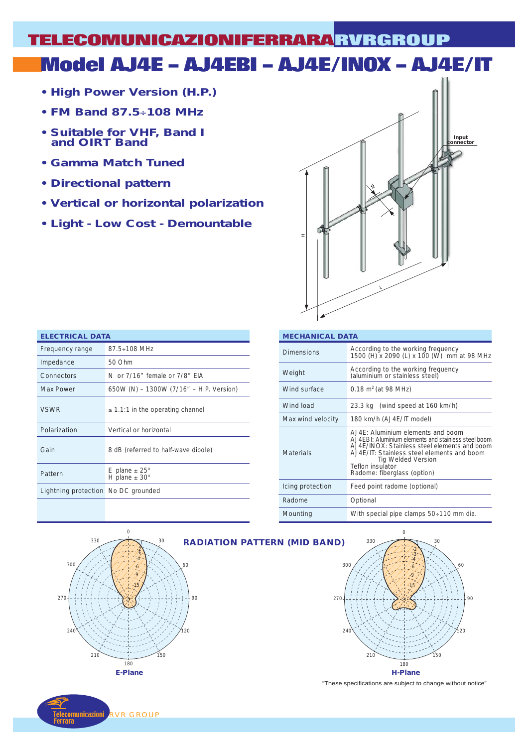# **Model AJ4E – AJ4EBI – AJ4E/INOX – AJ4E/IT TELECOMUNICAZIONIFERRARA RVRGROUP**

- **High Power Version (H.P.)**
- **FM Band 87.5**÷**108 MHz**
- **Suitable for VHF, Band I and OIRT Band**
- **Gamma Match Tuned**
- **Directional pattern**
- **Vertical or horizontal polarization**
- **Light Low Cost Demountable**



| <b>ELECTRICAL DATA</b>              |                                                         |  |  |  |  |
|-------------------------------------|---------------------------------------------------------|--|--|--|--|
| Frequency range                     | $87.5 \div 108$ MHz                                     |  |  |  |  |
| Impedance                           | 50 Ohm                                                  |  |  |  |  |
| Connectors                          | N or 7/16" female or 7/8" FIA                           |  |  |  |  |
| <b>Max Power</b>                    | 650W (N) - 1300W (7/16" - H.P. Version)                 |  |  |  |  |
| <b>VSWR</b>                         | $\leq$ 1.1:1 in the operating channel                   |  |  |  |  |
| Polarization                        | Vertical or horizontal                                  |  |  |  |  |
| Gain                                | 8 dB (referred to half-wave dipole)                     |  |  |  |  |
| Pattern                             | E plane $\pm 25^{\circ}$<br>H plane $\pm$ 30 $^{\circ}$ |  |  |  |  |
| Lightning protection No DC grounded |                                                         |  |  |  |  |

| <b>MECHANICAL DATA</b> |                                                                                                                                                                                                                                                                    |  |  |  |  |
|------------------------|--------------------------------------------------------------------------------------------------------------------------------------------------------------------------------------------------------------------------------------------------------------------|--|--|--|--|
| <b>Dimensions</b>      | According to the working frequency<br>1500 (H) x 2090 (L) x 100 (W) mm at 98 MHz                                                                                                                                                                                   |  |  |  |  |
| Weight                 | According to the working frequency<br>(aluminium or stainless steel)                                                                                                                                                                                               |  |  |  |  |
| Wind surface           | 0.18 $m^2$ (at 98 MHz)                                                                                                                                                                                                                                             |  |  |  |  |
| Wind load              | 23.3 kg (wind speed at 160 km/h)                                                                                                                                                                                                                                   |  |  |  |  |
| Max wind velocity      | 180 km/h (AJ4E/IT model)                                                                                                                                                                                                                                           |  |  |  |  |
| Materials              | A.J4E: Aluminium elements and boom<br>A.J4EBI: Aluminium elements and stainless steel boom<br>A.J4F/INOX: Stainless steel elements and boom<br>AJ4E/IT: Stainless steel elements and boom<br>Tig Welded Version<br>Teflon insulator<br>Radome: fiberglass (option) |  |  |  |  |
| Icing protection       | Feed point radome (optional)                                                                                                                                                                                                                                       |  |  |  |  |
| Radome                 | Optional                                                                                                                                                                                                                                                           |  |  |  |  |
| Mounting               | With special pipe clamps 50÷110 mm dia.                                                                                                                                                                                                                            |  |  |  |  |



nunicazioni Ferrara RVR GROUP